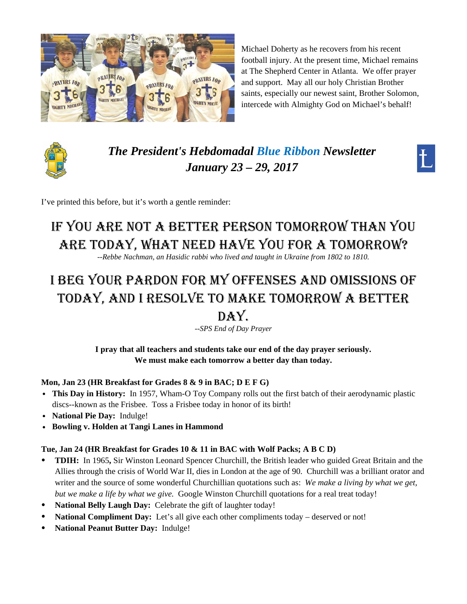

Michael Doherty as he recovers from his recent football injury. At the present time, Michael remains at The Shepherd Center in Atlanta. We offer prayer and support. May all our holy Christian Brother saints, especially our newest saint, Brother Solomon, intercede with Almighty God on Michael's behalf!



*The President's Hebdomadal Blue Ribbon Newsletter January 23 – 29, 2017* 



I've printed this before, but it's worth a gentle reminder:

# IF YOU ARE NOT A BETTER PERSON TOMORROW THAN YOU ARE TODAY, WHAT NEED HAVE YOU FOR A TOMORROW?

--*Rebbe Nachman, an Hasidic rabbi who lived and taught in Ukraine from 1802 to 1810.*

# I BEG YOUR PARDON FOR MY OFFENSES AND OMISSIONS OF TODAY, AND I RESOLVE TO MAKE TOMORROW A BETTER

# DAY.

*--SPS End of Day Prayer* 

**I pray that all teachers and students take our end of the day prayer seriously. We must make each tomorrow a better day than today.** 

#### **Mon, Jan 23 (HR Breakfast for Grades 8 & 9 in BAC; D E F G)**

- This Day in History: In 1957, Wham-O Toy Company rolls out the first batch of their aerodynamic plastic discs--known as the Frisbee. Toss a Frisbee today in honor of its birth!
- v **National Pie Day:** Indulge!
- v **Bowling v. Holden at Tangi Lanes in Hammond**

#### **Tue, Jan 24 (HR Breakfast for Grades 10 & 11 in BAC with Wolf Packs; A B C D)**

- **TDIH:** In 1965**,** Sir Winston Leonard Spencer Churchill, the British leader who guided Great Britain and the Allies through the crisis of World War II, dies in London at the age of 90. Churchill was a brilliant orator and writer and the source of some wonderful Churchillian quotations such as: *We make a living by what we get, but we make a life by what we give.* Google Winston Churchill quotations for a real treat today!
- **National Belly Laugh Day:** Celebrate the gift of laughter today!
- **National Compliment Day:** Let's all give each other compliments today deserved or not!
- **National Peanut Butter Day:** Indulge!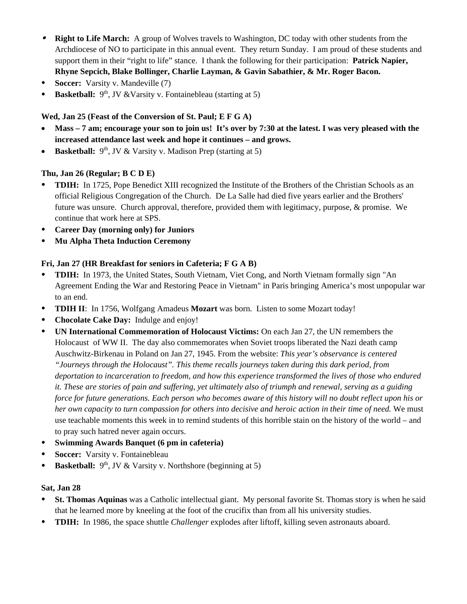- **Right to Life March:** A group of Wolves travels to Washington, DC today with other students from the Archdiocese of NO to participate in this annual event. They return Sunday. I am proud of these students and support them in their "right to life" stance. I thank the following for their participation: **Patrick Napier, Rhyne Sepcich, Blake Bollinger, Charlie Layman, & Gavin Sabathier, & Mr. Roger Bacon.**
- **Soccer:** Varsity v. Mandeville (7)
- **Basketball:** 9<sup>th</sup>, JV &Varsity v. Fontainebleau (starting at 5)

#### **Wed, Jan 25 (Feast of the Conversion of St. Paul; E F G A)**

- **Mass 7 am; encourage your son to join us! It's over by 7:30 at the latest. I was very pleased with the increased attendance last week and hope it continues – and grows.**
- **Basketball:**  $9<sup>th</sup>$ , JV & Varsity v. Madison Prep (starting at 5)

#### **Thu, Jan 26 (Regular; B C D E)**

- **TDIH:** In 1725, Pope Benedict XIII recognized the Institute of the Brothers of the Christian Schools as an official Religious Congregation of the Church. De La Salle had died five years earlier and the Brothers' future was unsure. Church approval, therefore, provided them with legitimacy, purpose, & promise. We continue that work here at SPS.
- **Career Day (morning only) for Juniors**
- **Mu Alpha Theta Induction Ceremony**

#### **Fri, Jan 27 (HR Breakfast for seniors in Cafeteria; F G A B)**

- **TDIH:** In 1973, the United States, South Vietnam, Viet Cong, and North Vietnam formally sign "An Agreement Ending the War and Restoring Peace in Vietnam" in Paris bringing America's most unpopular war to an end.
- **TDIH II**: In 1756, Wolfgang Amadeus **Mozart** was born. Listen to some Mozart today!
- **Chocolate Cake Day:** Indulge and enjoy!
- **UN International Commemoration of Holocaust Victims:** On each Jan 27, the UN remembers the Holocaust of WW II. The day also commemorates when Soviet troops liberated the Nazi death camp Auschwitz-Birkenau in Poland on Jan 27, 1945. From the website: *This year's observance is centered "Journeys through the Holocaust". This theme recalls journeys taken during this dark period, from deportation to incarceration to freedom, and how this experience transformed the lives of those who endured it. These are stories of pain and suffering, yet ultimately also of triumph and renewal, serving as a guiding force for future generations. Each person who becomes aware of this history will no doubt reflect upon his or her own capacity to turn compassion for others into decisive and heroic action in their time of need.* We must use teachable moments this week in to remind students of this horrible stain on the history of the world – and to pray such hatred never again occurs.
- **Swimming Awards Banquet (6 pm in cafeteria)**
- **Soccer:** Varsity v. Fontainebleau
- **Basketball:**  $9<sup>th</sup>$ , JV & Varsity v. Northshore (beginning at 5)

#### **Sat, Jan 28**

- **St. Thomas Aquinas** was a Catholic intellectual giant. My personal favorite St. Thomas story is when he said that he learned more by kneeling at the foot of the crucifix than from all his university studies.
- **TDIH:** In 1986, the space shuttle *Challenger* explodes after liftoff, killing seven astronauts aboard.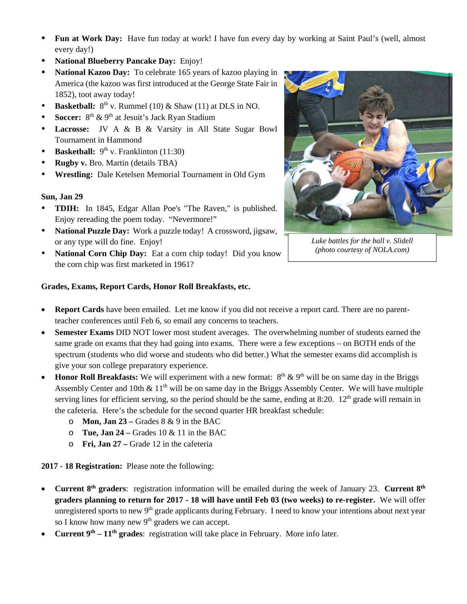- **Fun at Work Day:** Have fun today at work! I have fun every day by working at Saint Paul's (well, almost every day!)
- **National Blueberry Pancake Day:** Enjoy!
- **National Kazoo Day:** To celebrate 165 years of kazoo playing in America (the kazoo was first introduced at the George State Fair in 1852), toot away today!
- **Basketball:**  $8^{th}$  v. Rummel (10) & Shaw (11) at DLS in NO.
- **Soccer:** 8<sup>th</sup> & 9<sup>th</sup> at Jesuit's Jack Ryan Stadium
- **Lacrosse:** JV A & B & Varsity in All State Sugar Bowl Tournament in Hammond
- **Basketball:**  $9<sup>th</sup>$  v. Franklinton (11:30)
- **Rugby v.** Bro. Martin (details TBA)
- **Wrestling:** Dale Ketelsen Memorial Tournament in Old Gym

#### **Sun, Jan 29**

- **TDIH:** In 1845, Edgar Allan Poe's "The Raven," is published. Enjoy rereading the poem today. "Nevermore!"
- **National Puzzle Day:** Work a puzzle today! A crossword, jigsaw, or any type will do fine. Enjoy!
- **National Corn Chip Day:** Eat a corn chip today! Did you know the corn chip was first marketed in 1961?



*Luke battles for the ball v. Slidell (photo courtesy of NOLA.com)* 

#### **Grades, Exams, Report Cards, Honor Roll Breakfasts, etc.**

- **Report Cards** have been emailed. Let me know if you did not receive a report card. There are no parentteacher conferences until Feb 6, so email any concerns to teachers.
- **Semester Exams** DID NOT lower most student averages. The overwhelming number of students earned the same grade on exams that they had going into exams. There were a few exceptions – on BOTH ends of the spectrum (students who did worse and students who did better.) What the semester exams did accomplish is give your son college preparatory experience.
- **Honor Roll Breakfasts:** We will experiment with a new format:  $8<sup>th</sup> \& 9<sup>th</sup>$  will be on same day in the Briggs Assembly Center and 10th  $\&$  11<sup>th</sup> will be on same day in the Briggs Assembly Center. We will have multiple serving lines for efficient serving, so the period should be the same, ending at 8:20.  $12<sup>th</sup>$  grade will remain in the cafeteria. Here's the schedule for the second quarter HR breakfast schedule:
	- o **Mon, Jan 23 –** Grades 8 & 9 in the BAC
	- o **Tue, Jan 24 –** Grades 10 & 11 in the BAC
	- o **Fri, Jan 27 –** Grade 12 in the cafeteria

**2017 - 18 Registration:** Please note the following:

- **Current 8th graders**: registration information will be emailed during the week of January 23. **Current 8th graders planning to return for 2017 - 18 will have until Feb 03 (two weeks) to re-register.** We will offer unregistered sports to new 9<sup>th</sup> grade applicants during February. I need to know your intentions about next year so I know how many new  $9<sup>th</sup>$  graders we can accept.
- **Current 9th 11th grades**: registration will take place in February. More info later.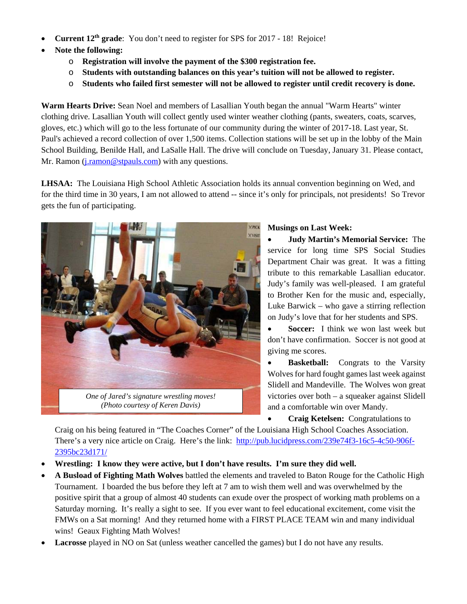- **Current 12th grade**: You don't need to register for SPS for 2017 18! Rejoice!
- **Note the following:** 
	- o **Registration will involve the payment of the \$300 registration fee.**
	- o **Students with outstanding balances on this year's tuition will not be allowed to register.**
	- o **Students who failed first semester will not be allowed to register until credit recovery is done.**

**Warm Hearts Drive:** Sean Noel and members of Lasallian Youth began the annual "Warm Hearts" winter clothing drive. Lasallian Youth will collect gently used winter weather clothing (pants, sweaters, coats, scarves, gloves, etc.) which will go to the less fortunate of our community during the winter of 2017-18. Last year, St. Paul's achieved a record collection of over 1,500 items. Collection stations will be set up in the lobby of the Main School Building, Benilde Hall, and LaSalle Hall. The drive will conclude on Tuesday, January 31. Please contact, Mr. Ramon (*j.ramon@stpauls.com*) with any questions.

**LHSAA:** The Louisiana High School Athletic Association holds its annual convention beginning on Wed, and for the third time in 30 years, I am not allowed to attend -- since it's only for principals, not presidents! So Trevor gets the fun of participating.



*(Photo courtesy of Keren Davis)* 

#### **Musings on Last Week:**

 **Judy Martin's Memorial Service:** The service for long time SPS Social Studies Department Chair was great. It was a fitting tribute to this remarkable Lasallian educator. Judy's family was well-pleased. I am grateful to Brother Ken for the music and, especially, Luke Barwick – who gave a stirring reflection on Judy's love that for her students and SPS.

 **Soccer:** I think we won last week but don't have confirmation. Soccer is not good at giving me scores.

**Basketball:** Congrats to the Varsity Wolves for hard fought games last week against Slidell and Mandeville. The Wolves won great victories over both – a squeaker against Slidell and a comfortable win over Mandy.

 **Craig Ketelsen:** Congratulations to Craig on his being featured in "The Coaches Corner" of the Louisiana High School Coaches Association. There's a very nice article on Craig. Here's the link: http://pub.lucidpress.com/239e74f3-16c5-4c50-906f-2395bc23d171/

- **Wrestling: I know they were active, but I don't have results. I'm sure they did well.**
- **A Busload of Fighting Math Wolves** battled the elements and traveled to Baton Rouge for the Catholic High Tournament. I boarded the bus before they left at 7 am to wish them well and was overwhelmed by the positive spirit that a group of almost 40 students can exude over the prospect of working math problems on a Saturday morning. It's really a sight to see. If you ever want to feel educational excitement, come visit the FMWs on a Sat morning! And they returned home with a FIRST PLACE TEAM win and many individual wins! Geaux Fighting Math Wolves!
- **Lacrosse** played in NO on Sat (unless weather cancelled the games) but I do not have any results.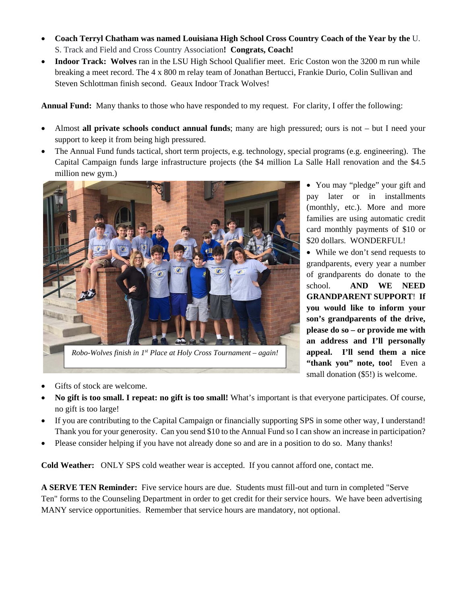- **Coach Terryl Chatham was named Louisiana High School Cross Country Coach of the Year by the** U. S. Track and Field and Cross Country Association**! Congrats, Coach!**
- **Indoor Track: Wolves** ran in the LSU High School Qualifier meet. Eric Coston won the 3200 m run while breaking a meet record. The 4 x 800 m relay team of Jonathan Bertucci, Frankie Durio, Colin Sullivan and Steven Schlottman finish second. Geaux Indoor Track Wolves!

**Annual Fund:** Many thanks to those who have responded to my request. For clarity, I offer the following:

- Almost **all private schools conduct annual funds**; many are high pressured; ours is not but I need your support to keep it from being high pressured.
- The Annual Fund funds tactical, short term projects, e.g. technology, special programs (e.g. engineering). The Capital Campaign funds large infrastructure projects (the \$4 million La Salle Hall renovation and the \$4.5 million new gym.)



*Robo-Wolves finish in 1st Place at Holy Cross Tournament – again!* 

• You may "pledge" your gift and pay later or in installments (monthly, etc.). More and more families are using automatic credit card monthly payments of \$10 or \$20 dollars. WONDERFUL!

 While we don't send requests to grandparents, every year a number of grandparents do donate to the school. **AND WE NEED GRANDPARENT SUPPORT**! **If you would like to inform your son's grandparents of the drive, please do so – or provide me with an address and I'll personally appeal. I'll send them a nice**  "thank you" note, too! Even a small donation (\$5!) is welcome.

- Gifts of stock are welcome.
- **No gift is too small. I repeat: no gift is too small!** What's important is that everyone participates. Of course, no gift is too large!
- If you are contributing to the Capital Campaign or financially supporting SPS in some other way, I understand! Thank you for your generosity. Can you send \$10 to the Annual Fund so I can show an increase in participation?
- Please consider helping if you have not already done so and are in a position to do so. Many thanks!

**Cold Weather:** ONLY SPS cold weather wear is accepted. If you cannot afford one, contact me.

**A SERVE TEN Reminder:** Five service hours are due. Students must fill-out and turn in completed "Serve Ten" forms to the Counseling Department in order to get credit for their service hours. We have been advertising MANY service opportunities. Remember that service hours are mandatory, not optional.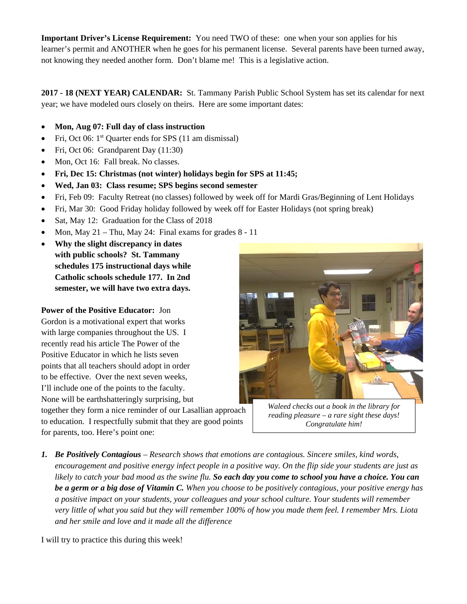**Important Driver's License Requirement:** You need TWO of these: one when your son applies for his learner's permit and ANOTHER when he goes for his permanent license. Several parents have been turned away, not knowing they needed another form. Don't blame me! This is a legislative action.

**2017 - 18 (NEXT YEAR) CALENDAR:** St. Tammany Parish Public School System has set its calendar for next year; we have modeled ours closely on theirs. Here are some important dates:

- **Mon, Aug 07: Full day of class instruction**
- Fri, Oct 06: 1<sup>st</sup> Quarter ends for SPS (11 am dismissal)
- Fri, Oct 06: Grandparent Day (11:30)
- Mon, Oct 16: Fall break. No classes.
- **Fri, Dec 15: Christmas (not winter) holidays begin for SPS at 11:45;**
- **Wed, Jan 03: Class resume; SPS begins second semester**
- Fri, Feb 09: Faculty Retreat (no classes) followed by week off for Mardi Gras/Beginning of Lent Holidays
- Fri, Mar 30: Good Friday holiday followed by week off for Easter Holidays (not spring break)
- Sat, May 12: Graduation for the Class of 2018
- Mon, May  $21 -$ Thu, May 24: Final exams for grades  $8 11$

 **Why the slight discrepancy in dates with public schools? St. Tammany schedules 175 instructional days while Catholic schools schedule 177. In 2nd semester, we will have two extra days.** 

**Power of the Positive Educator:** Jon

Gordon is a motivational expert that works with large companies throughout the US. I recently read his article The Power of the Positive Educator in which he lists seven points that all teachers should adopt in order to be effective. Over the next seven weeks, I'll include one of the points to the faculty. None will be earthshatteringly surprising, but

together they form a nice reminder of our Lasallian approach to education. I respectfully submit that they are good points for parents, too. Here's point one:



*Waleed checks out a book in the library for reading pleasure – a rare sight these days! Congratulate him!* 

*1. Be Positively Contagious – Research shows that emotions are contagious. Sincere smiles, kind words, encouragement and positive energy infect people in a positive way. On the flip side your students are just as likely to catch your bad mood as the swine flu. So each day you come to school you have a choice. You can be a germ or a big dose of Vitamin C. When you choose to be positively contagious, your positive energy has a positive impact on your students, your colleagues and your school culture. Your students will remember very little of what you said but they will remember 100% of how you made them feel. I remember Mrs. Liota and her smile and love and it made all the difference* 

I will try to practice this during this week!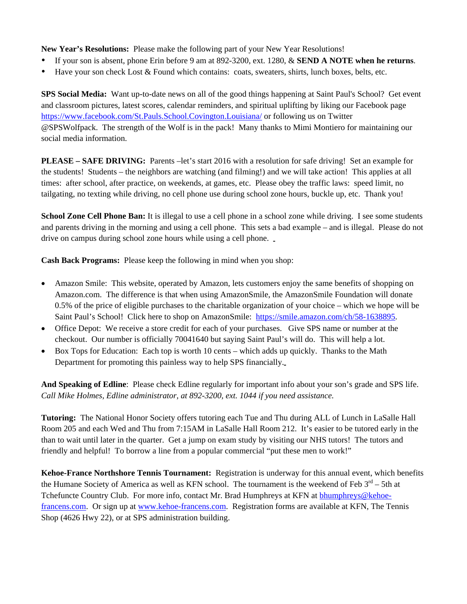**New Year's Resolutions:** Please make the following part of your New Year Resolutions!

- If your son is absent, phone Erin before 9 am at 892-3200, ext. 1280, & **SEND A NOTE when he returns**.
- Have your son check Lost & Found which contains: coats, sweaters, shirts, lunch boxes, belts, etc.

**SPS Social Media:** Want up-to-date news on all of the good things happening at Saint Paul's School? Get event and classroom pictures, latest scores, calendar reminders, and spiritual uplifting by liking our Facebook page https://www.facebook.com/St.Pauls.School.Covington.Louisiana/ or following us on Twitter @SPSWolfpack. The strength of the Wolf is in the pack! Many thanks to Mimi Montiero for maintaining our social media information.

**PLEASE – SAFE DRIVING:** Parents –let's start 2016 with a resolution for safe driving! Set an example for the students! Students – the neighbors are watching (and filming!) and we will take action! This applies at all times: after school, after practice, on weekends, at games, etc. Please obey the traffic laws: speed limit, no tailgating, no texting while driving, no cell phone use during school zone hours, buckle up, etc. Thank you!

**School Zone Cell Phone Ban:** It is illegal to use a cell phone in a school zone while driving. I see some students and parents driving in the morning and using a cell phone. This sets a bad example – and is illegal. Please do not drive on campus during school zone hours while using a cell phone.

**Cash Back Programs:** Please keep the following in mind when you shop:

- Amazon Smile: This website, operated by Amazon, lets customers enjoy the same benefits of shopping on Amazon.com. The difference is that when using AmazonSmile, the AmazonSmile Foundation will donate 0.5% of the price of eligible purchases to the charitable organization of your choice – which we hope will be Saint Paul's School! Click here to shop on AmazonSmile: https://smile.amazon.com/ch/58-1638895.
- Office Depot: We receive a store credit for each of your purchases. Give SPS name or number at the checkout. Our number is officially 70041640 but saying Saint Paul's will do. This will help a lot.
- Box Tops for Education: Each top is worth 10 cents which adds up quickly. Thanks to the Math Department for promoting this painless way to help SPS financially.

**And Speaking of Edline**: Please check Edline regularly for important info about your son's grade and SPS life. *Call Mike Holmes, Edline administrator, at 892-3200, ext. 1044 if you need assistance.* 

**Tutoring:** The National Honor Society offers tutoring each Tue and Thu during ALL of Lunch in LaSalle Hall Room 205 and each Wed and Thu from 7:15AM in LaSalle Hall Room 212. It's easier to be tutored early in the than to wait until later in the quarter. Get a jump on exam study by visiting our NHS tutors! The tutors and friendly and helpful! To borrow a line from a popular commercial "put these men to work!"

**Kehoe-France Northshore Tennis Tournament:** Registration is underway for this annual event, which benefits the Humane Society of America as well as KFN school. The tournament is the weekend of Feb  $3^{rd}$  – 5th at Tchefuncte Country Club. For more info, contact Mr. Brad Humphreys at KFN at bhumphreys@kehoefrancens.com. Or sign up at www.kehoe-francens.com. Registration forms are available at KFN, The Tennis Shop (4626 Hwy 22), or at SPS administration building.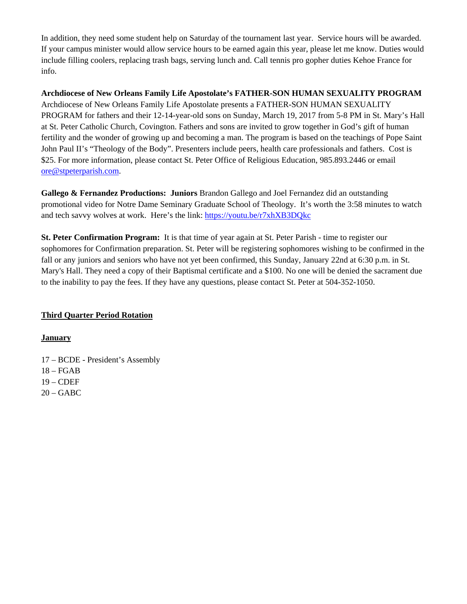In addition, they need some student help on Saturday of the tournament last year. Service hours will be awarded. If your campus minister would allow service hours to be earned again this year, please let me know. Duties would include filling coolers, replacing trash bags, serving lunch and. Call tennis pro gopher duties Kehoe France for info.

**Archdiocese of New Orleans Family Life Apostolate's FATHER-SON HUMAN SEXUALITY PROGRAM** Archdiocese of New Orleans Family Life Apostolate presents a FATHER-SON HUMAN SEXUALITY PROGRAM for fathers and their 12-14-year-old sons on Sunday, March 19, 2017 from 5-8 PM in St. Mary's Hall at St. Peter Catholic Church, Covington. Fathers and sons are invited to grow together in God's gift of human fertility and the wonder of growing up and becoming a man. The program is based on the teachings of Pope Saint John Paul II's "Theology of the Body". Presenters include peers, health care professionals and fathers. Cost is \$25. For more information, please contact St. Peter Office of Religious Education, 985.893.2446 or email ore@stpeterparish.com.

**Gallego & Fernandez Productions: Juniors** Brandon Gallego and Joel Fernandez did an outstanding promotional video for Notre Dame Seminary Graduate School of Theology. It's worth the 3:58 minutes to watch and tech savvy wolves at work. Here's the link: https://youtu.be/r7xhXB3DQkc

**St. Peter Confirmation Program:** It is that time of year again at St. Peter Parish - time to register our sophomores for Confirmation preparation. St. Peter will be registering sophomores wishing to be confirmed in the fall or any juniors and seniors who have not yet been confirmed, this Sunday, January 22nd at 6:30 p.m. in St. Mary's Hall. They need a copy of their Baptismal certificate and a \$100. No one will be denied the sacrament due to the inability to pay the fees. If they have any questions, please contact St. Peter at 504-352-1050.

## **Third Quarter Period Rotation**

#### **January**

- 17 BCDE President's Assembly
- $18 FGAB$
- 19 CDEF
- $20 GABC$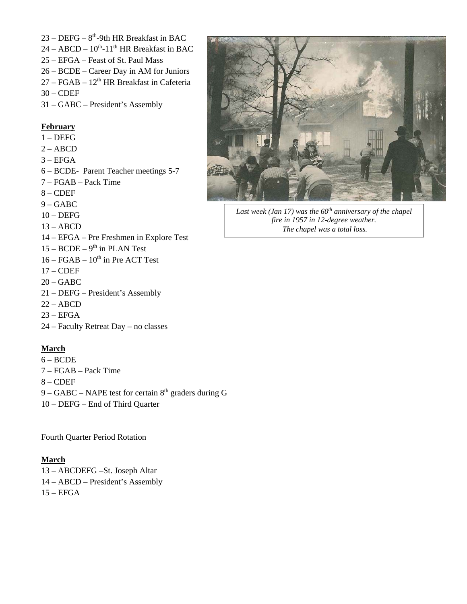- $23 DEFG 8<sup>th</sup>-9th HR Breakfast in BAC$
- $24 ABCD 10^{th} 11^{th}$  HR Breakfast in BAC
- 25 EFGA Feast of St. Paul Mass
- 26 BCDE Career Day in AM for Juniors
- $27 FGAB 12<sup>th</sup> HR$  Breakfast in Cafeteria
- $30 CDEF$
- 31 GABC President's Assembly

#### **February**

- 1 DEFG
- $2 ABCD$
- $3 EFGA$
- 6 BCDE- Parent Teacher meetings 5-7
- 7 FGAB Pack Time
- 8 CDEF
- 9 GABC
- $10 DEFG$
- $13 ABCD$
- 14 EFGA Pre Freshmen in Explore Test
- $15 BCDE 9<sup>th</sup>$  in PLAN Test
- $16 FGAB 10^{th}$  in Pre ACT Test
- $17 CDEF$
- 20 GABC
- 21 DEFG President's Assembly
- $22 ABCD$
- $23 EFGA$
- 24 Faculty Retreat Day no classes

#### **March**

- 6 BCDE
- 7 FGAB Pack Time
- 8 CDEF
- 9 GABC NAPE test for certain  $8<sup>th</sup>$  graders during G
- 10 DEFG End of Third Quarter

Fourth Quarter Period Rotation

#### **March**

- 13 ABCDEFG –St. Joseph Altar
- 14 ABCD President's Assembly
- $15 EFGA$



Last week (Jan 17) was the 60<sup>th</sup> anniversary of the chapel *fire in 1957 in 12-degree weather. The chapel was a total loss.*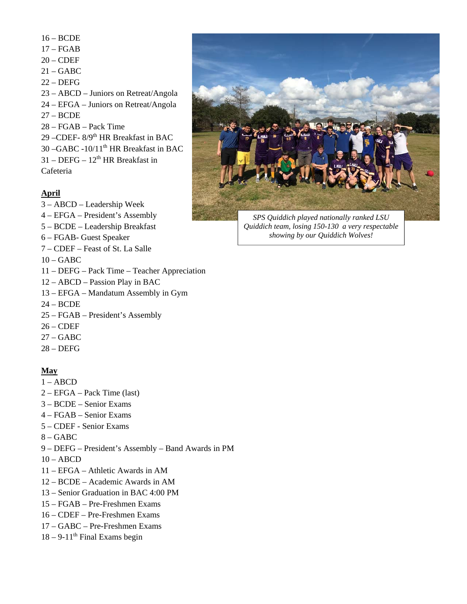- 16 BCDE
- 17 FGAB
- $20 CDEF$
- $21 GABC$
- 22 DEFG
- 23 ABCD Juniors on Retreat/Angola
- 24 EFGA Juniors on Retreat/Angola
- 27 BCDE
- 28 FGAB Pack Time
- 29 –CDEF- 8/9th HR Breakfast in BAC
- 30 –GABC -10/11<sup>th</sup> HR Breakfast in BAC
- $31 DEFG 12<sup>th</sup> HR Breakfast in$

Cafeteria

# **April**

- 3 ABCD Leadership Week
- 4 EFGA President's Assembly
- 5 BCDE Leadership Breakfast
- 6 FGAB- Guest Speaker
- 7 CDEF Feast of St. La Salle
- $10 GABC$
- 11 DEFG Pack Time Teacher Appreciation
- 12 ABCD Passion Play in BAC
- 13 EFGA Mandatum Assembly in Gym
- 24 BCDE
- 25 FGAB President's Assembly
- 26 CDEF
- 27 GABC
- 28 DEFG

## **May**

- $1 ABCD$
- 2 EFGA Pack Time (last)
- 3 BCDE Senior Exams
- 4 FGAB Senior Exams
- 5 CDEF Senior Exams
- $8 GABC$
- 9 DEFG President's Assembly Band Awards in PM
- $10 ABCD$
- 11 EFGA Athletic Awards in AM
- 12 BCDE Academic Awards in AM
- 13 Senior Graduation in BAC 4:00 PM
- 15 FGAB Pre-Freshmen Exams
- 16 CDEF Pre-Freshmen Exams
- 17 GABC Pre-Freshmen Exams
- $18 9 11$ <sup>th</sup> Final Exams begin



*SPS Quiddich played nationally ranked LSU Quiddich team, losing 150-130 a very respectable showing by our Quiddich Wolves!*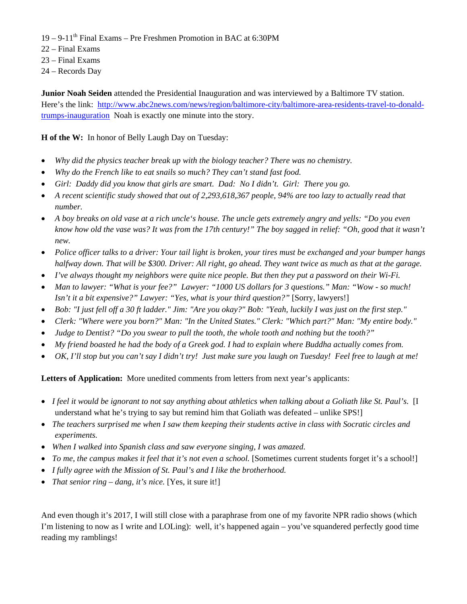- $19 9 11$ <sup>th</sup> Final Exams Pre Freshmen Promotion in BAC at 6:30PM
- 22 Final Exams
- 23 Final Exams
- 24 Records Day

**Junior Noah Seiden** attended the Presidential Inauguration and was interviewed by a Baltimore TV station. Here's the link: http://www.abc2news.com/news/region/baltimore-city/baltimore-area-residents-travel-to-donaldtrumps-inauguration Noah is exactly one minute into the story.

**H of the W:** In honor of Belly Laugh Day on Tuesday:

- *Why did the physics teacher break up with the biology teacher? There was no chemistry.*
- *Why do the French like to eat snails so much? They can't stand fast food.*
- *Girl: Daddy did you know that girls are smart. Dad: No I didn't. Girl: There you go.*
- *A recent scientific study showed that out of 2,293,618,367 people, 94% are too lazy to actually read that number.*
- *A boy breaks on old vase at a rich uncle's house. The uncle gets extremely angry and yells: "Do you even know how old the vase was? It was from the 17th century!" The boy sagged in relief: "Oh, good that it wasn't new.*
- *Police officer talks to a driver: Your tail light is broken, your tires must be exchanged and your bumper hangs halfway down. That will be \$300. Driver: All right, go ahead. They want twice as much as that at the garage.*
- *I've always thought my neighbors were quite nice people. But then they put a password on their Wi-Fi.*
- *Man to lawyer: "What is your fee?" Lawyer: "1000 US dollars for 3 questions." Man: "Wow so much! Isn't it a bit expensive?" Lawyer: "Yes, what is your third question?"* [Sorry, lawyers!]
- *Bob: "I just fell off a 30 ft ladder." Jim: "Are you okay?" Bob: "Yeah, luckily I was just on the first step."*
- *Clerk: "Where were you born?" Man: "In the United States." Clerk: "Which part?" Man: "My entire body."*
- *Judge to Dentist? "Do you swear to pull the tooth, the whole tooth and nothing but the tooth?"*
- *My friend boasted he had the body of a Greek god. I had to explain where Buddha actually comes from.*
- *OK, I'll stop but you can't say I didn't try! Just make sure you laugh on Tuesday! Feel free to laugh at me!*

**Letters of Application:** More unedited comments from letters from next year's applicants:

- *I feel it would be ignorant to not say anything about athletics when talking about a Goliath like St. Paul's.* [I understand what he's trying to say but remind him that Goliath was defeated – unlike SPS!]
- *The teachers surprised me when I saw them keeping their students active in class with Socratic circles and experiments.*
- *When I walked into Spanish class and saw everyone singing, I was amazed.*
- *To me, the campus makes it feel that it's not even a school.* [Sometimes current students forget it's a school!]
- *I fully agree with the Mission of St. Paul's and I like the brotherhood.*
- *That senior ring dang, it's nice.* [Yes, it sure it!]

And even though it's 2017, I will still close with a paraphrase from one of my favorite NPR radio shows (which I'm listening to now as I write and LOLing): well, it's happened again – you've squandered perfectly good time reading my ramblings!